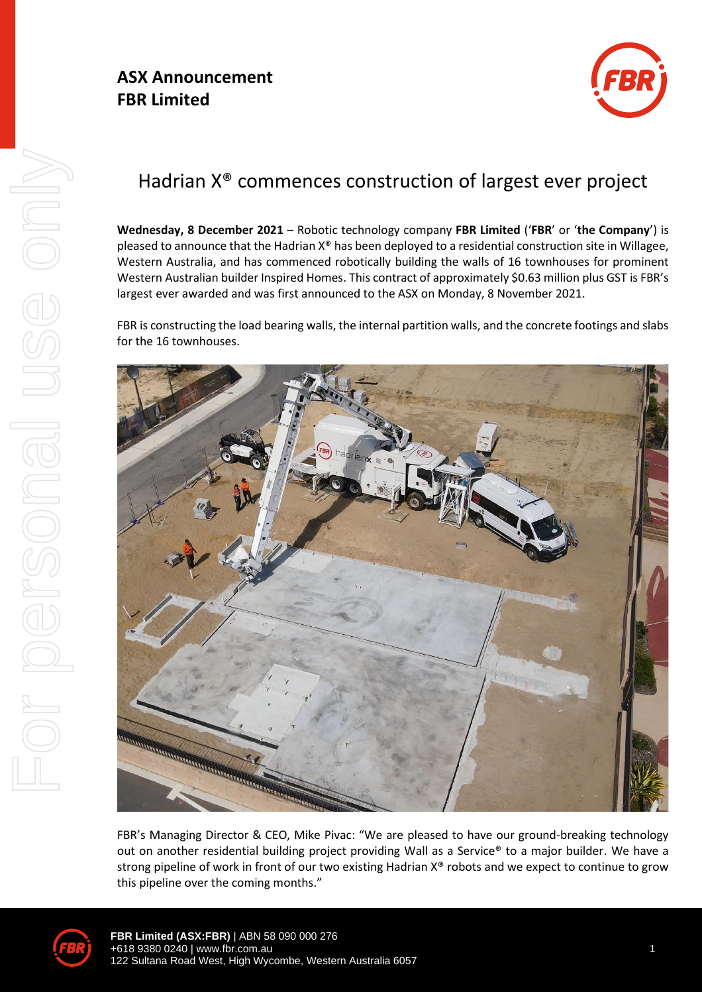### **ASX Announcement FBR Limited**



# Hadrian X® commences construction of largest ever project

**Wednesday, 8 December 2021** – Robotic technology company **FBR Limited** ('**FBR**' or '**the Company**') is pleased to announce that the Hadrian X® has been deployed to a residential construction site in Willagee, Western Australia, and has commenced robotically building the walls of 16 townhouses for prominent Western Australian builder Inspired Homes. This contract of approximately \$0.63 million plus GST is FBR's largest ever awarded and was first announced to the ASX on Monday, 8 November 2021.

FBR is constructing the load bearing walls, the internal partition walls, and the concrete footings and slabs for the 16 townhouses.



FBR's Managing Director & CEO, Mike Pivac: "We are pleased to have our ground-breaking technology out on another residential building project providing Wall as a Service® to a major builder. We have a strong pipeline of work in front of our two existing Hadrian X® robots and we expect to continue to grow this pipeline over the coming months."